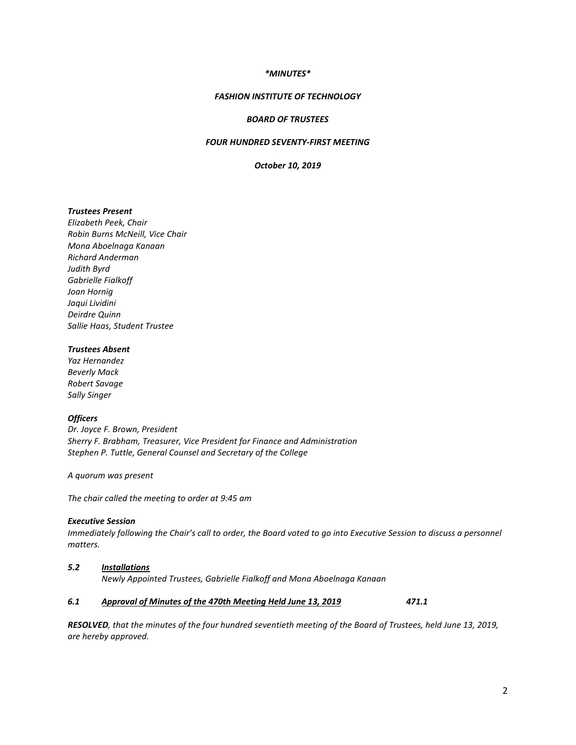#### *\*MINUTES\**

### *FASHION INSTITUTE OF TECHNOLOGY*

### *BOARD OF TRUSTEES*

# *FOUR HUNDRED SEVENTY-FIRST MEETING*

*October 10, 2019*

#### *Trustees Present*

*Elizabeth Peek, Chair Robin Burns McNeill, Vice Chair Mona Aboelnaga Kanaan Richard Anderman Judith Byrd Gabrielle Fialkoff Joan Hornig Jaqui Lividini Deirdre Quinn Sallie Haas, Student Trustee*

### *Trustees Absent*

*Yaz Hernandez Beverly Mack Robert Savage Sally Singer*

### *Officers*

*Dr. Joyce F. Brown, President Sherry F. Brabham, Treasurer, Vice President for Finance and Administration Stephen P. Tuttle, General Counsel and Secretary of the College*

*A quorum was present*

*The chair called the meeting to order at 9:45 am*

#### *Executive Session*

*Immediately following the Chair's call to order, the Board voted to go into Executive Session to discuss a personnel matters.*

# *5.2 Installations*

*Newly Appointed Trustees, Gabrielle Fialkoff and Mona Aboelnaga Kanaan*

# *6.1 Approval of Minutes of the 470th Meeting Held June 13, 2019 471.1*

*RESOLVED, that the minutes of the four hundred seventieth meeting of the Board of Trustees, held June 13, 2019, are hereby approved.*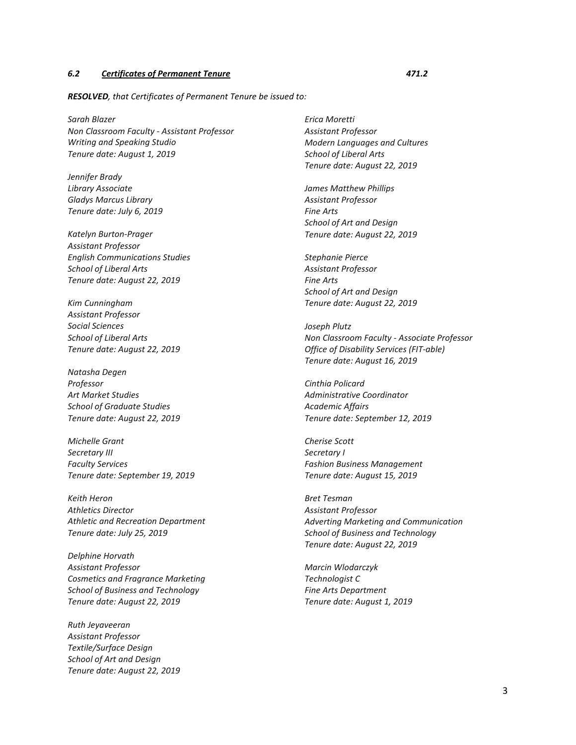#### *6.2 Certificates of Permanent Tenure 471.2*

*RESOLVED, that Certificates of Permanent Tenure be issued to:* 

*Sarah Blazer Non Classroom Faculty - Assistant Professor Writing and Speaking Studio Tenure date: August 1, 2019*

*Jennifer Brady Library Associate Gladys Marcus Library Tenure date: July 6, 2019*

*Katelyn Burton-Prager Assistant Professor English Communications Studies School of Liberal Arts Tenure date: August 22, 2019*

*Kim Cunningham Assistant Professor Social Sciences School of Liberal Arts Tenure date: August 22, 2019*

*Natasha Degen Professor Art Market Studies School of Graduate Studies Tenure date: August 22, 2019*

*Michelle Grant Secretary III Faculty Services Tenure date: September 19, 2019*

*Keith Heron Athletics Director Athletic and Recreation Department Tenure date: July 25, 2019*

*Delphine Horvath Assistant Professor Cosmetics and Fragrance Marketing School of Business and Technology Tenure date: August 22, 2019*

*Ruth Jeyaveeran Assistant Professor Textile/Surface Design School of Art and Design Tenure date: August 22, 2019* *Erica Moretti Assistant Professor Modern Languages and Cultures School of Liberal Arts Tenure date: August 22, 2019*

*James Matthew Phillips Assistant Professor Fine Arts School of Art and Design Tenure date: August 22, 2019*

*Stephanie Pierce Assistant Professor Fine Arts School of Art and Design Tenure date: August 22, 2019*

*Joseph Plutz Non Classroom Faculty - Associate Professor Office of Disability Services (FIT-able) Tenure date: August 16, 2019*

*Cinthia Policard Administrative Coordinator Academic Affairs Tenure date: September 12, 2019*

*Cherise Scott Secretary I Fashion Business Management Tenure date: August 15, 2019*

*Bret Tesman Assistant Professor Adverting Marketing and Communication School of Business and Technology Tenure date: August 22, 2019*

*Marcin Wlodarczyk Technologist C Fine Arts Department Tenure date: August 1, 2019*